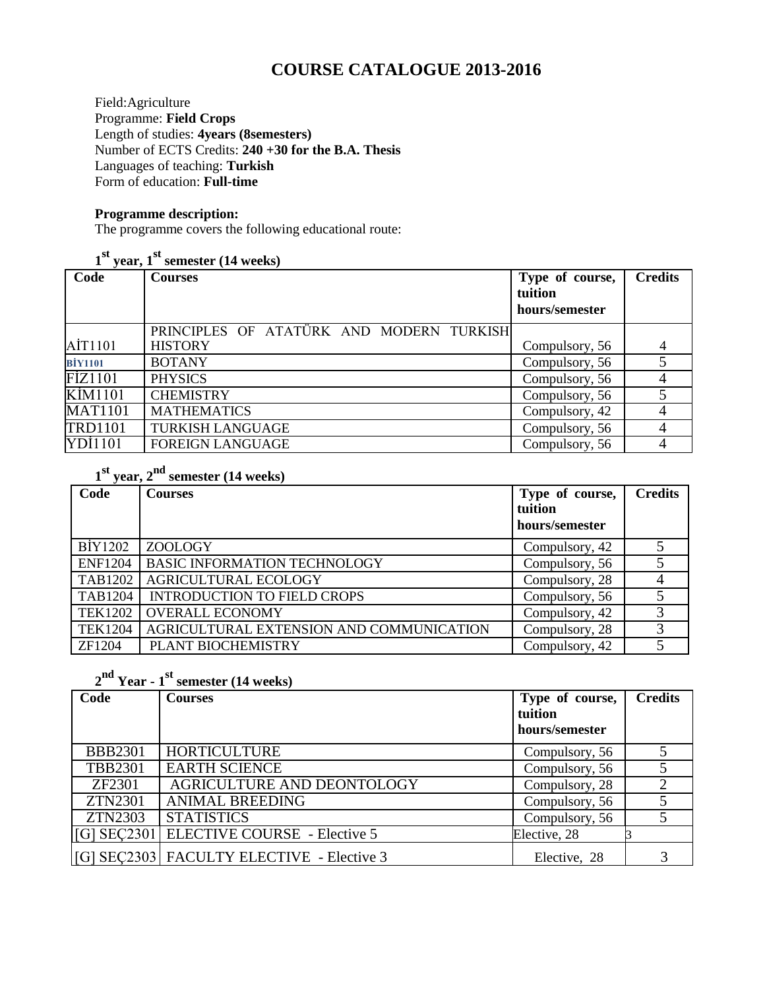# **COURSE CATALOGUE 2013-2016**

Field:Agriculture Programme: **Field Crops** Length of studies: **4years (8semesters)** Number of ECTS Credits: **240 +30 for the B.A. Thesis** Languages of teaching: **Turkish** Form of education: **Full-time**

#### **Programme description:**

The programme covers the following educational route:

**1 st year, 1st semester (14 weeks)**

| Code           | <b>Courses</b>                           | Type of course,<br>tuition<br>hours/semester | <b>Credits</b> |
|----------------|------------------------------------------|----------------------------------------------|----------------|
|                | PRINCIPLES OF ATATÜRK AND MODERN TURKISH |                                              |                |
| AİT1101        | <b>HISTORY</b>                           | Compulsory, 56                               |                |
| <b>BİY1101</b> | <b>BOTANY</b>                            | Compulsory, 56                               |                |
| FIZ1101        | <b>PHYSICS</b>                           | Compulsory, 56                               |                |
| <b>KİM1101</b> | <b>CHEMISTRY</b>                         | Compulsory, 56                               |                |
| <b>MAT1101</b> | <b>MATHEMATICS</b>                       | Compulsory, 42                               |                |
| <b>TRD1101</b> | <b>TURKISH LANGUAGE</b>                  | Compulsory, 56                               |                |
| YDI1101        | <b>FOREIGN LANGUAGE</b>                  | Compulsory, 56                               |                |

**1 st year, 2nd semester (14 weeks)**

| Code           | <b>Courses</b>                           | Type of course,<br>tuition<br>hours/semester | <b>Credits</b> |
|----------------|------------------------------------------|----------------------------------------------|----------------|
| BİY1202        | ZOOLOGY                                  | Compulsory, 42                               |                |
| <b>ENF1204</b> | <b>BASIC INFORMATION TECHNOLOGY</b>      | Compulsory, 56                               |                |
| TAB1202        | <b>AGRICULTURAL ECOLOGY</b>              | Compulsory, 28                               |                |
| <b>TAB1204</b> | <b>INTRODUCTION TO FIELD CROPS</b>       | Compulsory, 56                               |                |
| TEK1202        | <b>OVERALL ECONOMY</b>                   | Compulsory, 42                               | 3              |
| <b>TEK1204</b> | AGRICULTURAL EXTENSION AND COMMUNICATION | Compulsory, 28                               | 3              |
| ZF1204         | PLANT BIOCHEMISTRY                       | Compulsory, 42                               |                |

# **2 nd Year - 1 st semester (14 weeks)**

| Code           | Courses                                   | Type of course,<br>tuition<br>hours/semester | <b>Credits</b> |
|----------------|-------------------------------------------|----------------------------------------------|----------------|
| <b>BBB2301</b> | <b>HORTICULTURE</b>                       | Compulsory, 56                               |                |
| <b>TBB2301</b> | <b>EARTH SCIENCE</b>                      | Compulsory, 56                               |                |
| ZF2301         | <b>AGRICULTURE AND DEONTOLOGY</b>         | Compulsory, 28                               |                |
| ZTN2301        | <b>ANIMAL BREEDING</b>                    | Compulsory, 56                               |                |
| ZTN2303        | <b>STATISTICS</b>                         | Compulsory, 56                               |                |
|                | [[G] SEC2301 ELECTIVE COURSE - Elective 5 | Elective, 28                                 |                |
|                | [G] SEC2303 FACULTY ELECTIVE - Elective 3 | Elective, 28                                 |                |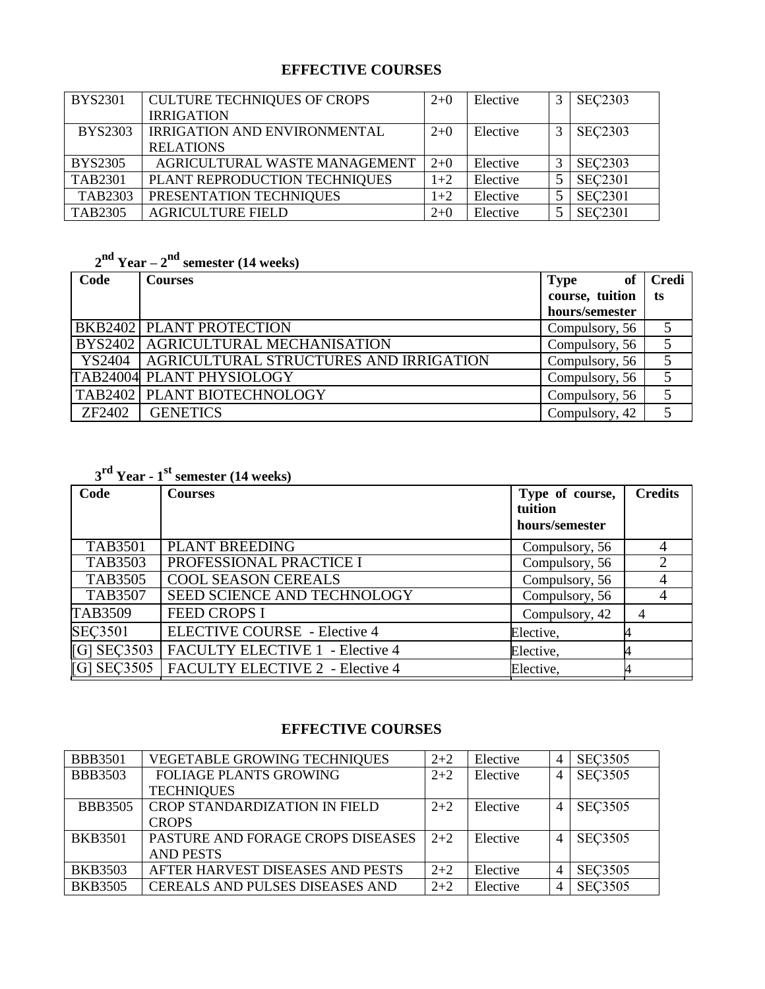# **EFFECTIVE COURSES**

| <b>BYS2301</b> | <b>CULTURE TECHNIQUES OF CROPS</b>  | $2+0$ | Elective | 3 | <b>SEC2303</b> |
|----------------|-------------------------------------|-------|----------|---|----------------|
|                | <b>IRRIGATION</b>                   |       |          |   |                |
| <b>BYS2303</b> | <b>IRRIGATION AND ENVIRONMENTAL</b> | $2+0$ | Elective | 3 | <b>SEC2303</b> |
|                | <b>RELATIONS</b>                    |       |          |   |                |
| <b>BYS2305</b> | AGRICULTURAL WASTE MANAGEMENT       | $2+0$ | Elective | 3 | <b>SEC2303</b> |
| TAB2301        | PLANT REPRODUCTION TECHNIQUES       | $1+2$ | Elective |   | <b>SEC2301</b> |
| TAB2303        | PRESENTATION TECHNIQUES             | $1+2$ | Elective |   | <b>SEC2301</b> |
| <b>TAB2305</b> | <b>AGRICULTURE FIELD</b>            | $2+0$ | Elective |   | <b>SEC2301</b> |

# **2 nd Year – 2 nd semester (14 weeks)**

| Code   | <b>Courses</b>                                  | <b>Type</b><br><sub>of</sub> | <b>Credi</b> |
|--------|-------------------------------------------------|------------------------------|--------------|
|        |                                                 | course, tuition              | ts           |
|        |                                                 | hours/semester               |              |
|        | <b>BKB2402 PLANT PROTECTION</b>                 | Compulsory, 56               |              |
|        | BYS2402   AGRICULTURAL MECHANISATION            | Compulsory, 56               |              |
|        | YS2404   AGRICULTURAL STRUCTURES AND IRRIGATION | Compulsory, 56               |              |
|        | <b>TAB24004 PLANT PHYSIOLOGY</b>                | Compulsory, 56               |              |
|        | TAB2402   PLANT BIOTECHNOLOGY                   | Compulsory, 56               |              |
| ZF2402 | <b>GENETICS</b>                                 | Compulsory, 42               |              |

|                | $3rd$ Year - 1 <sup>st</sup> semester (14 weeks) |                                              |                |  |  |  |  |  |
|----------------|--------------------------------------------------|----------------------------------------------|----------------|--|--|--|--|--|
| Code           | <b>Courses</b>                                   | Type of course,<br>tuition<br>hours/semester | <b>Credits</b> |  |  |  |  |  |
| <b>TAB3501</b> | <b>PLANT BREEDING</b>                            | Compulsory, 56                               |                |  |  |  |  |  |
| <b>TAB3503</b> | PROFESSIONAL PRACTICE I                          | Compulsory, 56                               |                |  |  |  |  |  |
| <b>TAB3505</b> | <b>COOL SEASON CEREALS</b>                       | Compulsory, 56                               |                |  |  |  |  |  |
| <b>TAB3507</b> | <b>SEED SCIENCE AND TECHNOLOGY</b>               | Compulsory, 56                               |                |  |  |  |  |  |
| TAB3509        | <b>FEED CROPS I</b>                              | Compulsory, 42                               | 4              |  |  |  |  |  |
| <b>SEC3501</b> | <b>ELECTIVE COURSE</b> - Elective 4              | Elective,                                    |                |  |  |  |  |  |
| $[G]$ SEC3503  | <b>FACULTY ELECTIVE 1 - Elective 4</b>           | Elective,                                    |                |  |  |  |  |  |
| $[G]$ SEC3505  | FACULTY ELECTIVE 2 - Elective 4                  | Elective,                                    |                |  |  |  |  |  |

### **EFFECTIVE COURSES**

| <b>BBB3501</b> | <b>VEGETABLE GROWING TECHNIQUES</b>    | $2 + 2$ | Elective | $\overline{4}$ | <b>SEC3505</b> |
|----------------|----------------------------------------|---------|----------|----------------|----------------|
| <b>BBB3503</b> | <b>FOLIAGE PLANTS GROWING</b>          | $2 + 2$ | Elective | 4              | <b>SEC3505</b> |
|                | <b>TECHNIQUES</b>                      |         |          |                |                |
| <b>BBB3505</b> | <b>CROP STANDARDIZATION IN FIELD</b>   | $2+2$   | Elective | 4              | <b>SEC3505</b> |
|                | <b>CROPS</b>                           |         |          |                |                |
| <b>BKB3501</b> | PASTURE AND FORAGE CROPS DISEASES      | $2+2$   | Elective | 4              | <b>SEC3505</b> |
|                | <b>AND PESTS</b>                       |         |          |                |                |
| <b>BKB3503</b> | AFTER HARVEST DISEASES AND PESTS       | $2+2$   | Elective | $\overline{4}$ | <b>SEC3505</b> |
| <b>BKB3505</b> | <b>CEREALS AND PULSES DISEASES AND</b> | $2 + 2$ | Elective | 4              | <b>SEC3505</b> |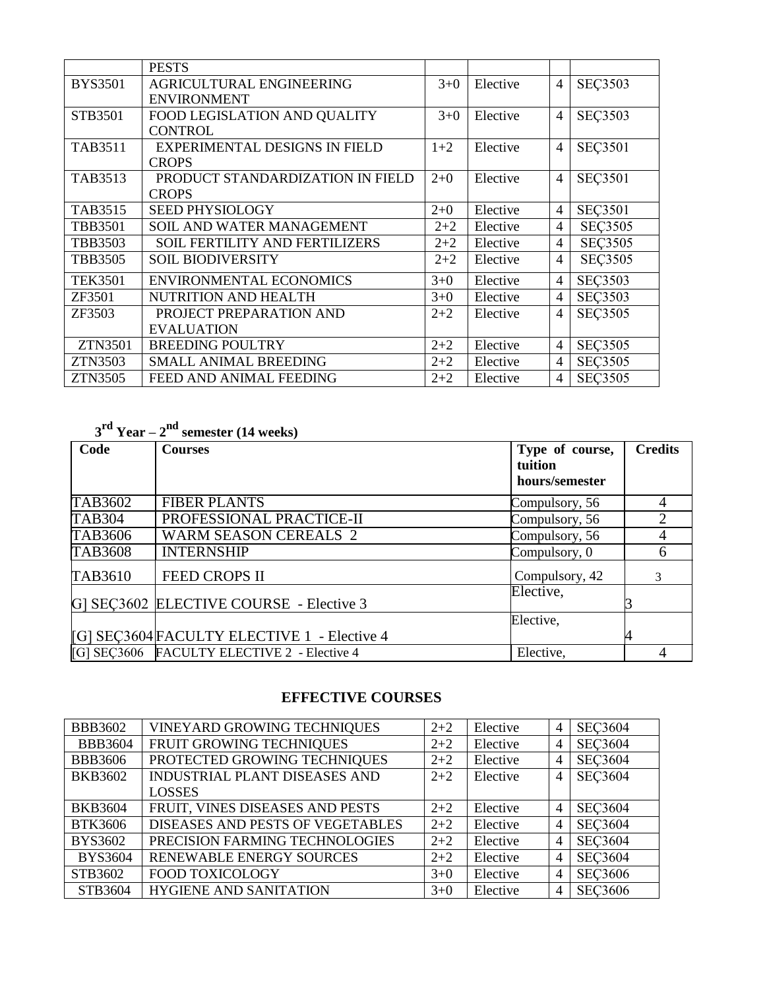|                | <b>PESTS</b>                          |         |          |                |                |
|----------------|---------------------------------------|---------|----------|----------------|----------------|
| <b>BYS3501</b> | AGRICULTURAL ENGINEERING              | $3+0$   | Elective | $\overline{4}$ | <b>SEC3503</b> |
|                | <b>ENVIRONMENT</b>                    |         |          |                |                |
| STB3501        | FOOD LEGISLATION AND QUALITY          | $3 + 0$ | Elective | 4              | <b>SEC3503</b> |
|                | <b>CONTROL</b>                        |         |          |                |                |
| <b>TAB3511</b> | <b>EXPERIMENTAL DESIGNS IN FIELD</b>  | $1+2$   | Elective | $\overline{4}$ | <b>SEC3501</b> |
|                | <b>CROPS</b>                          |         |          |                |                |
| TAB3513        | PRODUCT STANDARDIZATION IN FIELD      | $2+0$   | Elective | $\overline{4}$ | <b>SEC3501</b> |
|                | <b>CROPS</b>                          |         |          |                |                |
| <b>TAB3515</b> | SEED PHYSIOLOGY                       | $2+0$   | Elective | 4              | <b>SEÇ3501</b> |
| <b>TBB3501</b> | SOIL AND WATER MANAGEMENT             | $2 + 2$ | Elective | 4              | <b>SEC3505</b> |
| <b>TBB3503</b> | <b>SOIL FERTILITY AND FERTILIZERS</b> | $2 + 2$ | Elective | $\overline{4}$ | <b>SEC3505</b> |
| <b>TBB3505</b> | <b>SOIL BIODIVERSITY</b>              | $2 + 2$ | Elective | $\overline{4}$ | <b>SEÇ3505</b> |
| <b>TEK3501</b> | <b>ENVIRONMENTAL ECONOMICS</b>        | $3 + 0$ | Elective | 4              | <b>SEC3503</b> |
| ZF3501         | NUTRITION AND HEALTH                  | $3+0$   | Elective | 4              | <b>SEC3503</b> |
| ZF3503         | PROJECT PREPARATION AND               | $2 + 2$ | Elective | 4              | <b>SEÇ3505</b> |
|                | <b>EVALUATION</b>                     |         |          |                |                |
| <b>ZTN3501</b> | <b>BREEDING POULTRY</b>               | $2 + 2$ | Elective | 4              | <b>SEÇ3505</b> |
| ZTN3503        | <b>SMALL ANIMAL BREEDING</b>          | $2 + 2$ | Elective | 4              | <b>SEC3505</b> |
| <b>ZTN3505</b> | FEED AND ANIMAL FEEDING               | $2 + 2$ | Elective | 4              | <b>SEÇ3505</b> |

# **3 rd Year – 2 nd semester (14 weeks)**

| Code           | <b>Courses</b>                              | Type of course,<br>tuition<br>hours/semester | <b>Credits</b> |
|----------------|---------------------------------------------|----------------------------------------------|----------------|
| TAB3602        | <b>FIBER PLANTS</b>                         | Compulsory, 56                               |                |
| <b>TAB304</b>  | PROFESSIONAL PRACTICE-II                    | Compulsory, 56                               |                |
| <b>TAB3606</b> | <b>WARM SEASON CEREALS 2</b>                | Compulsory, 56                               |                |
| <b>TAB3608</b> | <b>INTERNSHIP</b>                           | Compulsory, 0                                | h              |
| TAB3610        | <b>FEED CROPS II</b>                        | Compulsory, 42                               | 3              |
|                | G SEC3602 ELECTIVE COURSE - Elective 3      | Elective,                                    |                |
|                |                                             | Elective,                                    |                |
|                | [G] SEC3604 FACULTY ELECTIVE 1 - Elective 4 |                                              |                |
|                | [G] SEC3606 FACULTY ELECTIVE 2 - Elective 4 | Elective,                                    |                |

## **EFFECTIVE COURSES**

| <b>BBB3602</b> | VINEYARD GROWING TECHNIQUES             | $2 + 2$ | Elective | 4              | <b>SEC3604</b> |
|----------------|-----------------------------------------|---------|----------|----------------|----------------|
| <b>BBB3604</b> | FRUIT GROWING TECHNIQUES                | $2 + 2$ | Elective | $\overline{4}$ | <b>SEC3604</b> |
| <b>BBB3606</b> | PROTECTED GROWING TECHNIQUES            | $2 + 2$ | Elective | 4              | <b>SEC3604</b> |
| <b>BKB3602</b> | <b>INDUSTRIAL PLANT DISEASES AND</b>    | $2 + 2$ | Elective | $\overline{4}$ | <b>SEC3604</b> |
|                | <b>LOSSES</b>                           |         |          |                |                |
| <b>BKB3604</b> | FRUIT, VINES DISEASES AND PESTS         | $2 + 2$ | Elective | $\overline{4}$ | <b>SEC3604</b> |
| <b>BTK3606</b> | <b>DISEASES AND PESTS OF VEGETABLES</b> | $2 + 2$ | Elective | 4              | <b>SEC3604</b> |
| <b>BYS3602</b> | PRECISION FARMING TECHNOLOGIES          | $2 + 2$ | Elective | 4              | <b>SEC3604</b> |
| <b>BYS3604</b> | RENEWABLE ENERGY SOURCES                | $2 + 2$ | Elective | $\overline{4}$ | <b>SEC3604</b> |
| STB3602        | <b>FOOD TOXICOLOGY</b>                  | $3+0$   | Elective | $\overline{4}$ | <b>SEC3606</b> |
| STB3604        | <b>HYGIENE AND SANITATION</b>           | $3+0$   | Elective | $\overline{4}$ | <b>SEC3606</b> |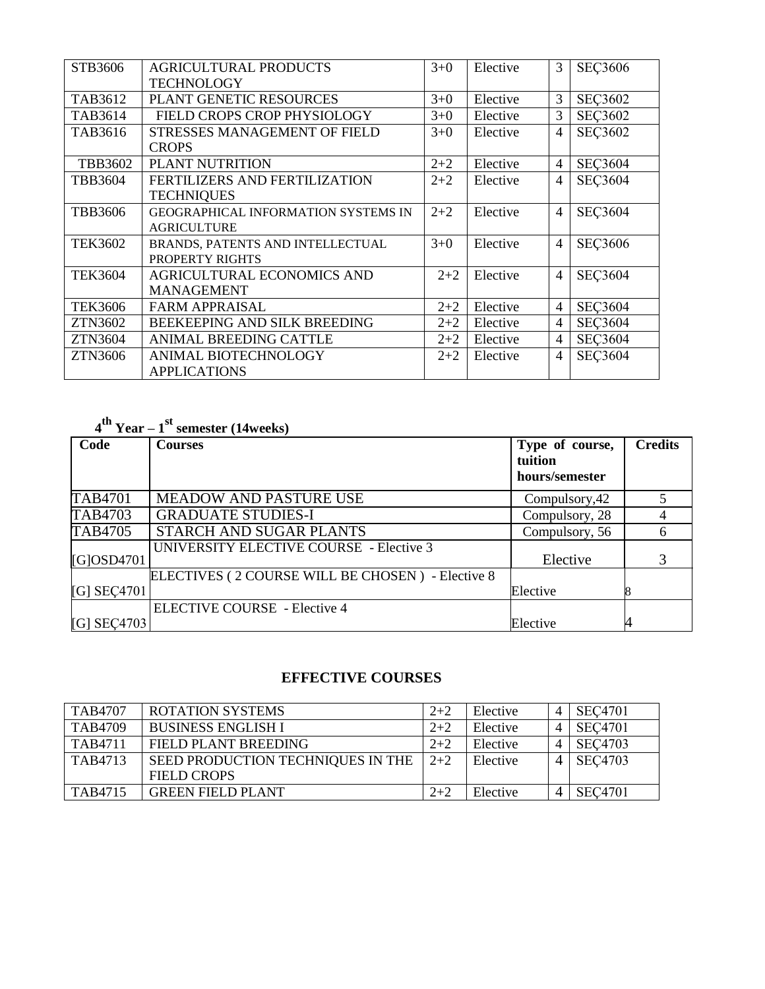| STB3606        | <b>AGRICULTURAL PRODUCTS</b><br><b>TECHNOLOGY</b> | $3+0$   | Elective | 3              | <b>SEC3606</b> |
|----------------|---------------------------------------------------|---------|----------|----------------|----------------|
| TAB3612        | PLANT GENETIC RESOURCES                           | $3+0$   | Elective | 3              | <b>SEC3602</b> |
| TAB3614        | FIELD CROPS CROP PHYSIOLOGY                       | $3+0$   | Elective | 3              | <b>SEC3602</b> |
| TAB3616        | STRESSES MANAGEMENT OF FIELD                      | $3+0$   | Elective | $\overline{4}$ | <b>SEÇ3602</b> |
|                | <b>CROPS</b>                                      |         |          |                |                |
| TBB3602        | PLANT NUTRITION                                   | $2 + 2$ | Elective | $\overline{4}$ | <b>SEC3604</b> |
| <b>TBB3604</b> | FERTILIZERS AND FERTILIZATION                     | $2 + 2$ | Elective | $\overline{4}$ | <b>SEC3604</b> |
|                | <b>TECHNIQUES</b>                                 |         |          |                |                |
| <b>TBB3606</b> | <b>GEOGRAPHICAL INFORMATION SYSTEMS IN</b>        | $2 + 2$ | Elective | $\overline{4}$ | <b>SEC3604</b> |
|                | <b>AGRICULTURE</b>                                |         |          |                |                |
| <b>TEK3602</b> | BRANDS, PATENTS AND INTELLECTUAL                  | $3+0$   | Elective | $\overline{4}$ | <b>SEC3606</b> |
|                | PROPERTY RIGHTS                                   |         |          |                |                |
| <b>TEK3604</b> | <b>AGRICULTURAL ECONOMICS AND</b>                 | $2 + 2$ | Elective | $\overline{4}$ | <b>SEC3604</b> |
|                | <b>MANAGEMENT</b>                                 |         |          |                |                |
| <b>TEK3606</b> | <b>FARM APPRAISAL</b>                             | $2 + 2$ | Elective | $\overline{4}$ | <b>SEC3604</b> |
| <b>ZTN3602</b> | BEEKEEPING AND SILK BREEDING                      | $2 + 2$ | Elective | $\overline{4}$ | <b>SEC3604</b> |
| <b>ZTN3604</b> | ANIMAL BREEDING CATTLE                            | $2 + 2$ | Elective | $\overline{4}$ | <b>SEC3604</b> |
| ZTN3606        | ANIMAL BIOTECHNOLOGY                              | $2 + 2$ | Elective | $\overline{4}$ | <b>SEC3604</b> |
|                | <b>APPLICATIONS</b>                               |         |          |                |                |

# **4 th Year – 1 st semester (14weeks)**

| Code          | <b>Courses</b>                                   | Type of course,<br>tuition<br>hours/semester | <b>Credits</b> |
|---------------|--------------------------------------------------|----------------------------------------------|----------------|
| TAB4701       | <b>MEADOW AND PASTURE USE</b>                    | Compulsory, 42                               |                |
| TAB4703       | <b>GRADUATE STUDIES-I</b>                        | Compulsory, 28                               |                |
| TAB4705       | STARCH AND SUGAR PLANTS                          | Compulsory, 56                               | 6              |
| $[G]$ OSD4701 | UNIVERSITY ELECTIVE COURSE - Elective 3          | Elective                                     |                |
|               | ELECTIVES (2 COURSE WILL BE CHOSEN) - Elective 8 |                                              |                |
| [G] SEC4701   |                                                  | Elective                                     |                |
|               | <b>ELECTIVE COURSE</b> - Elective 4              |                                              |                |
| $[G]$ SEC4703 |                                                  | Elective                                     |                |

# **EFFECTIVE COURSES**

| <b>TAB4707</b> | <b>ROTATION SYSTEMS</b>           | $2+2$ | Elective |   | <b>SEC4701</b> |
|----------------|-----------------------------------|-------|----------|---|----------------|
| <b>TAB4709</b> | <b>BUSINESS ENGLISH I</b>         | $2+2$ | Elective |   | <b>SEC4701</b> |
| TAB4711        | FIELD PLANT BREEDING              | $2+2$ | Elective |   | <b>SEC4703</b> |
| TAB4713        | SEED PRODUCTION TECHNIQUES IN THE | $2+2$ | Elective |   | <b>SEC4703</b> |
|                | <b>FIELD CROPS</b>                |       |          |   |                |
| TAB4715        | <b>GREEN FIELD PLANT</b>          | $2+2$ | Elective | 4 | <b>SEC4701</b> |